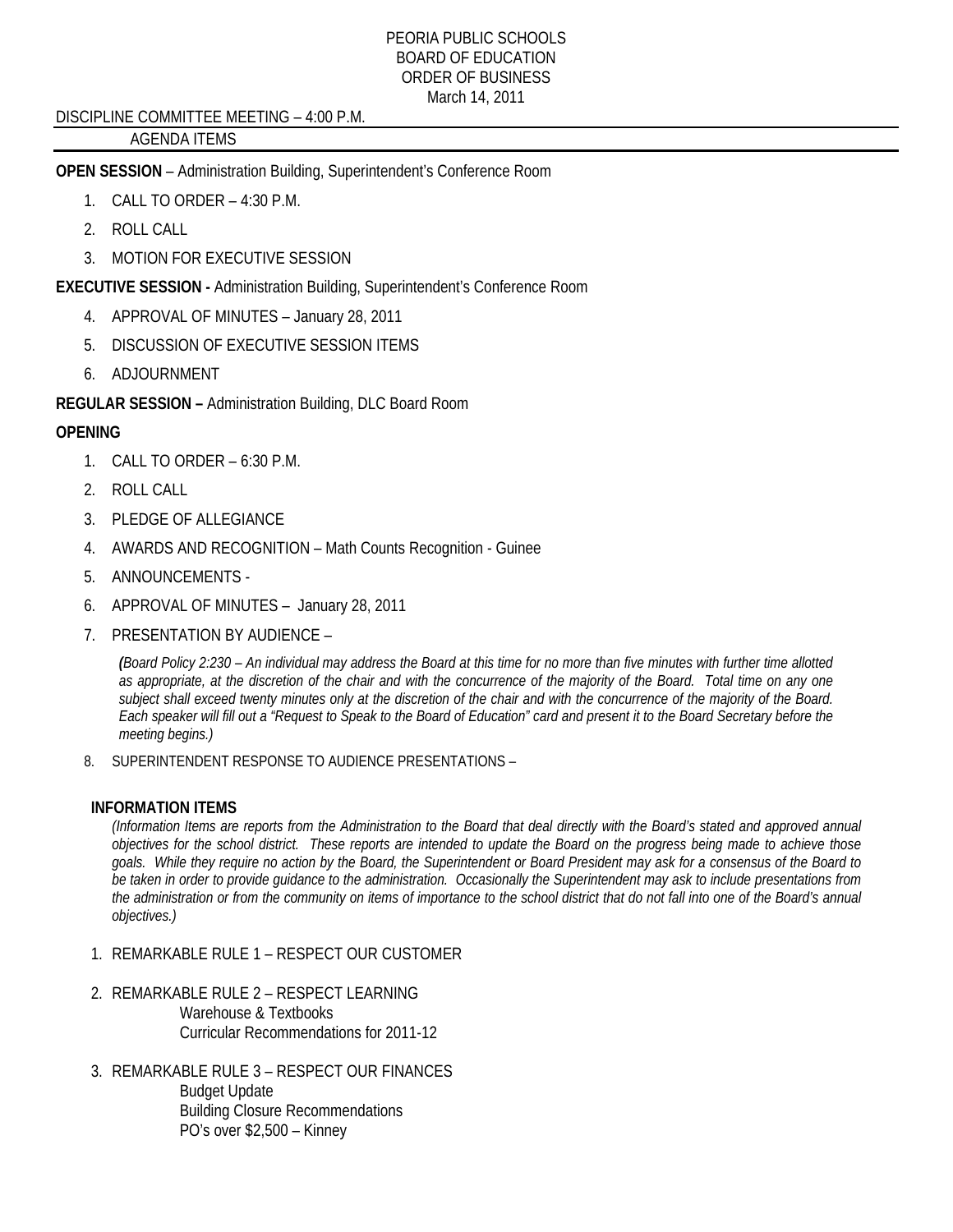## DISCIPLINE COMMITTEE MEETING – 4:00 P.M.

# AGENDA ITEMS

**OPEN SESSION** – Administration Building, Superintendent's Conference Room

- 1. CALL TO ORDER 4:30 P.M.
- 2. ROLL CALL
- 3. MOTION FOR EXECUTIVE SESSION

**EXECUTIVE SESSION -** Administration Building, Superintendent's Conference Room

- 4. APPROVAL OF MINUTES January 28, 2011
- 5. DISCUSSION OF EXECUTIVE SESSION ITEMS
- 6. ADJOURNMENT

**REGULAR SESSION –** Administration Building, DLC Board Room

# **OPENING**

- 1. CALL TO ORDER 6:30 P.M.
- 2. ROLL CALL
- 3. PLEDGE OF ALLEGIANCE
- 4. AWARDS AND RECOGNITION Math Counts Recognition Guinee
- 5. ANNOUNCEMENTS -
- 6. APPROVAL OF MINUTES January 28, 2011
- 7. PRESENTATION BY AUDIENCE –

*(Board Policy 2:230 – An individual may address the Board at this time for no more than five minutes with further time allotted as appropriate, at the discretion of the chair and with the concurrence of the majority of the Board. Total time on any one subject shall exceed twenty minutes only at the discretion of the chair and with the concurrence of the majority of the Board. Each speaker will fill out a "Request to Speak to the Board of Education" card and present it to the Board Secretary before the meeting begins.)* 

8. SUPERINTENDENT RESPONSE TO AUDIENCE PRESENTATIONS –

## **INFORMATION ITEMS**

*(Information Items are reports from the Administration to the Board that deal directly with the Board's stated and approved annual objectives for the school district. These reports are intended to update the Board on the progress being made to achieve those goals. While they require no action by the Board, the Superintendent or Board President may ask for a consensus of the Board to be taken in order to provide guidance to the administration. Occasionally the Superintendent may ask to include presentations from the administration or from the community on items of importance to the school district that do not fall into one of the Board's annual objectives.)* 

- 1. REMARKABLE RULE 1 RESPECT OUR CUSTOMER
- 2. REMARKABLE RULE 2 RESPECT LEARNING Warehouse & Textbooks Curricular Recommendations for 2011-12
- 3. REMARKABLE RULE 3 RESPECT OUR FINANCES Budget Update Building Closure Recommendations PO's over \$2,500 – Kinney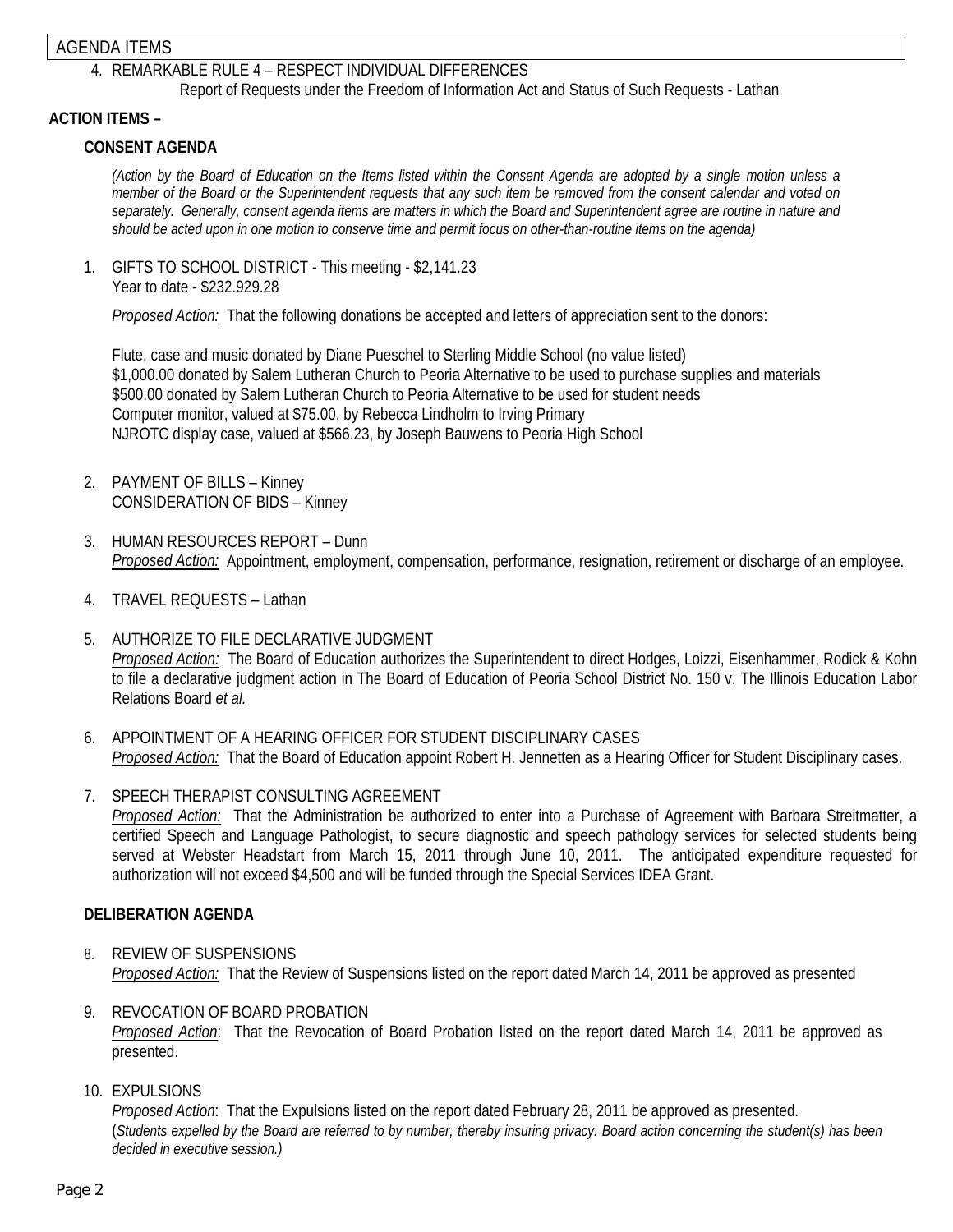# AGENDA ITEMS

# 4. REMARKABLE RULE 4 – RESPECT INDIVIDUAL DIFFERENCES

Report of Requests under the Freedom of Information Act and Status of Such Requests - Lathan

#### **ACTION ITEMS –**

## **CONSENT AGENDA**

*(Action by the Board of Education on the Items listed within the Consent Agenda are adopted by a single motion unless a member of the Board or the Superintendent requests that any such item be removed from the consent calendar and voted on separately. Generally, consent agenda items are matters in which the Board and Superintendent agree are routine in nature and should be acted upon in one motion to conserve time and permit focus on other-than-routine items on the agenda)* 

1. GIFTS TO SCHOOL DISTRICT - This meeting - \$2,141.23 Year to date - \$232.929.28

*Proposed Action:* That the following donations be accepted and letters of appreciation sent to the donors:

Flute, case and music donated by Diane Pueschel to Sterling Middle School (no value listed) \$1,000.00 donated by Salem Lutheran Church to Peoria Alternative to be used to purchase supplies and materials \$500.00 donated by Salem Lutheran Church to Peoria Alternative to be used for student needs Computer monitor, valued at \$75.00, by Rebecca Lindholm to Irving Primary NJROTC display case, valued at \$566.23, by Joseph Bauwens to Peoria High School

- 2. PAYMENT OF BILLS Kinney CONSIDERATION OF BIDS – Kinney
- 3. HUMAN RESOURCES REPORT Dunn *Proposed Action:* Appointment, employment, compensation, performance, resignation, retirement or discharge of an employee.
- 4. TRAVEL REQUESTS Lathan
- 5. AUTHORIZE TO FILE DECLARATIVE JUDGMENT *Proposed Action:* The Board of Education authorizes the Superintendent to direct Hodges, Loizzi, Eisenhammer, Rodick & Kohn to file a declarative judgment action in The Board of Education of Peoria School District No. 150 v. The Illinois Education Labor Relations Board *et al.*
- 6. APPOINTMENT OF A HEARING OFFICER FOR STUDENT DISCIPLINARY CASES *Proposed Action:* That the Board of Education appoint Robert H. Jennetten as a Hearing Officer for Student Disciplinary cases.
- 7. SPEECH THERAPIST CONSULTING AGREEMENT *Proposed Action:* That the Administration be authorized to enter into a Purchase of Agreement with Barbara Streitmatter, a certified Speech and Language Pathologist, to secure diagnostic and speech pathology services for selected students being served at Webster Headstart from March 15, 2011 through June 10, 2011. The anticipated expenditure requested for authorization will not exceed \$4,500 and will be funded through the Special Services IDEA Grant.

## **DELIBERATION AGENDA**

- 8. REVIEW OF SUSPENSIONS *Proposed Action:* That the Review of Suspensions listed on the report dated March 14, 2011 be approved as presented
- 9. REVOCATION OF BOARD PROBATION *Proposed Action*: That the Revocation of Board Probation listed on the report dated March 14, 2011 be approved as presented.
- 10. EXPULSIONS

*Proposed Action*: That the Expulsions listed on the report dated February 28, 2011 be approved as presented. (*Students expelled by the Board are referred to by number, thereby insuring privacy. Board action concerning the student(s) has been decided in executive session.)*